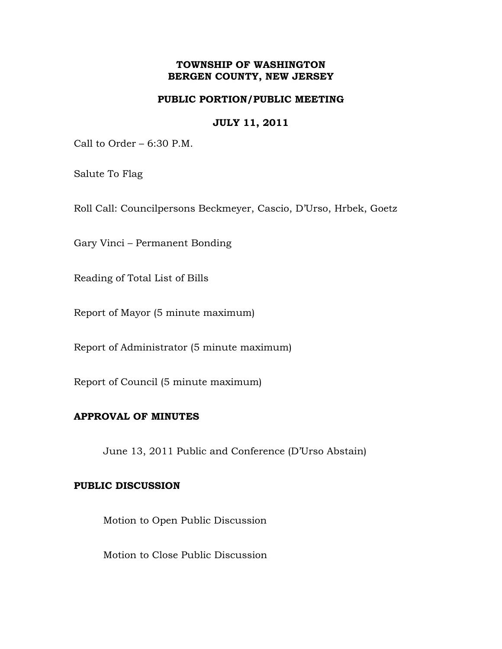## **TOWNSHIP OF WASHINGTON BERGEN COUNTY, NEW JERSEY**

## **PUBLIC PORTION/PUBLIC MEETING**

### **JULY 11, 2011**

Call to Order – 6:30 P.M.

Salute To Flag

Roll Call: Councilpersons Beckmeyer, Cascio, D'Urso, Hrbek, Goetz

Gary Vinci – Permanent Bonding

Reading of Total List of Bills

Report of Mayor (5 minute maximum)

Report of Administrator (5 minute maximum)

Report of Council (5 minute maximum)

### **APPROVAL OF MINUTES**

June 13, 2011 Public and Conference (D'Urso Abstain)

#### **PUBLIC DISCUSSION**

Motion to Open Public Discussion

Motion to Close Public Discussion